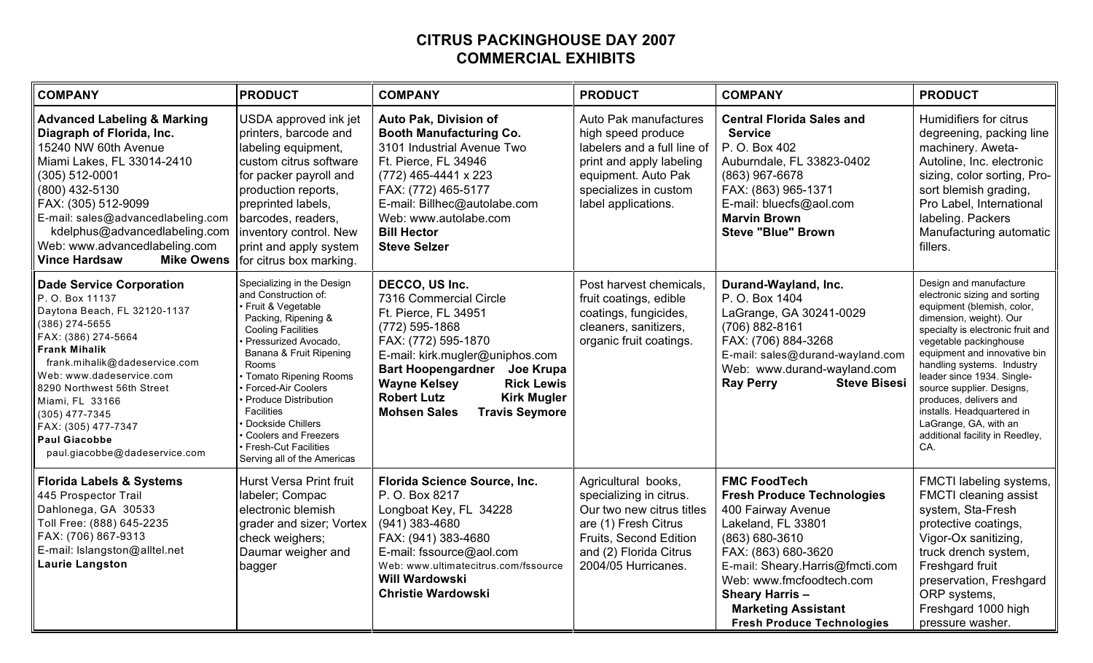## **CITRUS PACKINGHOUSE DAY 2007 COMMERCIAL EXHIBITS**

| <b>COMPANY</b>                                                                                                                                                                                                                                                                                                                                                        | <b>PRODUCT</b>                                                                                                                                                                                                                                                                                                                                                                                        | <b>COMPANY</b>                                                                                                                                                                                                                                                                                                                 | <b>PRODUCT</b>                                                                                                                                                                 | <b>COMPANY</b>                                                                                                                                                                                                                                                                                           | <b>PRODUCT</b>                                                                                                                                                                                                                                                                                                                                                                                                                      |
|-----------------------------------------------------------------------------------------------------------------------------------------------------------------------------------------------------------------------------------------------------------------------------------------------------------------------------------------------------------------------|-------------------------------------------------------------------------------------------------------------------------------------------------------------------------------------------------------------------------------------------------------------------------------------------------------------------------------------------------------------------------------------------------------|--------------------------------------------------------------------------------------------------------------------------------------------------------------------------------------------------------------------------------------------------------------------------------------------------------------------------------|--------------------------------------------------------------------------------------------------------------------------------------------------------------------------------|----------------------------------------------------------------------------------------------------------------------------------------------------------------------------------------------------------------------------------------------------------------------------------------------------------|-------------------------------------------------------------------------------------------------------------------------------------------------------------------------------------------------------------------------------------------------------------------------------------------------------------------------------------------------------------------------------------------------------------------------------------|
| <b>Advanced Labeling &amp; Marking</b><br>Diagraph of Florida, Inc.<br>15240 NW 60th Avenue<br>Miami Lakes, FL 33014-2410<br>(305) 512-0001<br>(800) 432-5130<br>FAX: (305) 512-9099<br>E-mail: sales@advancedlabeling.com<br>kdelphus@advancedlabeling.com<br>Web: www.advancedlabeling.com<br><b>Vince Hardsaw</b><br><b>Mike Owens</b>                             | USDA approved ink jet<br>printers, barcode and<br>labeling equipment,<br>custom citrus software<br>for packer payroll and<br>production reports,<br>preprinted labels,<br>barcodes, readers,<br>inventory control. New<br>print and apply system<br>for citrus box marking.                                                                                                                           | Auto Pak, Division of<br><b>Booth Manufacturing Co.</b><br>3101 Industrial Avenue Two<br>Ft. Pierce, FL 34946<br>$(772)$ 465-4441 x 223<br>FAX: (772) 465-5177<br>E-mail: Billhec@autolabe.com<br>Web: www.autolabe.com<br><b>Bill Hector</b><br><b>Steve Selzer</b>                                                           | Auto Pak manufactures<br>high speed produce<br>labelers and a full line of<br>print and apply labeling<br>equipment. Auto Pak<br>specializes in custom<br>label applications.  | <b>Central Florida Sales and</b><br><b>Service</b><br>P. O. Box 402<br>Auburndale, FL 33823-0402<br>(863) 967-6678<br>FAX: (863) 965-1371<br>E-mail: bluecfs@aol.com<br><b>Marvin Brown</b><br><b>Steve "Blue" Brown</b>                                                                                 | Humidifiers for citrus<br>degreening, packing line<br>machinery. Aweta-<br>Autoline, Inc. electronic<br>sizing, color sorting, Pro-<br>sort blemish grading,<br>Pro Label, International<br>labeling. Packers<br>Manufacturing automatic<br>fillers.                                                                                                                                                                                |
| <b>Dade Service Corporation</b><br>P. O. Box 11137<br>Daytona Beach, FL 32120-1137<br>(386) 274-5655<br>FAX: (386) 274-5664<br><b>Frank Mihalik</b><br>frank.mihalik@dadeservice.com<br>Web: www.dadeservice.com<br>8290 Northwest 56th Street<br>Miami, FL 33166<br>$(305)$ 477-7345<br>FAX: (305) 477-7347<br><b>Paul Giacobbe</b><br>paul.giacobbe@dadeservice.com | Specializing in the Design<br>and Construction of:<br>Fruit & Vegetable<br>Packing, Ripening &<br><b>Cooling Facilities</b><br>Pressurized Avocado,<br>Banana & Fruit Ripening<br>Rooms<br>Tomato Ripening Rooms<br><b>Forced-Air Coolers</b><br><b>Produce Distribution</b><br>Facilities<br>Dockside Chillers<br><b>Coolers and Freezers</b><br>Fresh-Cut Facilities<br>Serving all of the Americas | DECCO, US Inc.<br>7316 Commercial Circle<br>Ft. Pierce, FL 34951<br>(772) 595-1868<br>FAX: (772) 595-1870<br>E-mail: kirk.mugler@uniphos.com<br><b>Bart Hoopengardner</b><br>Joe Krupa<br><b>Wayne Kelsey</b><br><b>Rick Lewis</b><br><b>Robert Lutz</b><br><b>Kirk Mugler</b><br><b>Mohsen Sales</b><br><b>Travis Seymore</b> | Post harvest chemicals,<br>fruit coatings, edible<br>coatings, fungicides,<br>cleaners, sanitizers,<br>organic fruit coatings.                                                 | Durand-Wayland, Inc.<br>P. O. Box 1404<br>LaGrange, GA 30241-0029<br>(706) 882-8161<br>FAX: (706) 884-3268<br>E-mail: sales@durand-wayland.com<br>Web: www.durand-wayland.com<br><b>Ray Perry</b><br><b>Steve Bisesi</b>                                                                                 | Design and manufacture<br>electronic sizing and sorting<br>equipment (blemish, color,<br>dimension, weight). Our<br>specialty is electronic fruit and<br>vegetable packinghouse<br>equipment and innovative bin<br>handling systems. Industry<br>leader since 1934. Single-<br>source supplier. Designs,<br>produces, delivers and<br>installs. Headquartered in<br>LaGrange, GA, with an<br>additional facility in Reedley,<br>CA. |
| <b>Florida Labels &amp; Systems</b><br>445 Prospector Trail<br>Dahlonega, GA 30533<br>Toll Free: (888) 645-2235<br>FAX: (706) 867-9313<br>E-mail: Islangston@alltel.net<br>Laurie Langston                                                                                                                                                                            | Hurst Versa Print fruit<br>labeler; Compac<br>electronic blemish<br>grader and sizer; Vortex<br>check weighers;<br>Daumar weigher and<br>bagger                                                                                                                                                                                                                                                       | Florida Science Source, Inc.<br>P. O. Box 8217<br>Longboat Key, FL 34228<br>$(941)$ 383-4680<br>FAX: (941) 383-4680<br>E-mail: fssource@aol.com<br>Web: www.ultimatecitrus.com/fssource<br><b>Will Wardowski</b><br><b>Christie Wardowski</b>                                                                                  | Agricultural books,<br>specializing in citrus.<br>Our two new citrus titles<br>are (1) Fresh Citrus<br>Fruits, Second Edition<br>and (2) Florida Citrus<br>2004/05 Hurricanes. | <b>FMC FoodTech</b><br><b>Fresh Produce Technologies</b><br>400 Fairway Avenue<br>Lakeland, FL 33801<br>(863) 680-3610<br>FAX: (863) 680-3620<br>E-mail: Sheary.Harris@fmcti.com<br>Web: www.fmcfoodtech.com<br><b>Sheary Harris-</b><br><b>Marketing Assistant</b><br><b>Fresh Produce Technologies</b> | FMCTI labeling systems,<br>FMCTI cleaning assist<br>system, Sta-Fresh<br>protective coatings,<br>Vigor-Ox sanitizing,<br>truck drench system,<br>Freshgard fruit<br>preservation, Freshgard<br>ORP systems,<br>Freshgard 1000 high<br>pressure washer.                                                                                                                                                                              |